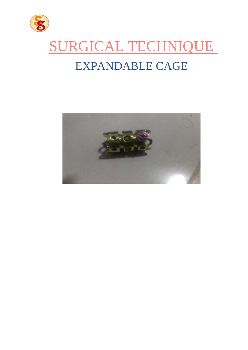

# SURGICAL TECHNIQUE EXPANDABLE CAGE

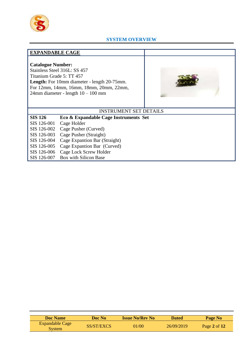

## **SYSTEM OVERVIEW**

# **EXPANDABLE CAGE**

## **Catalogue Number:**

Stainless Steel 316L: SS 457 Titanium Grade 5: TT 457 **Length:** For 10mm diameter - length 20-75mm. For 12mm, 14mm, 16mm, 18mm, 20mm, 22mm, 24mm diameter - length 10 – 100 mm



# INSTRUMENT SET DETAILS

| <b>SIS 126</b>          | Eco & Expandable Cage Instruments Set     |
|-------------------------|-------------------------------------------|
| SIS 126-001 Cage Holder |                                           |
|                         | SIS 126-002 Cage Pusher (Curved)          |
|                         | SIS 126-003 Cage Pusher (Straight)        |
|                         | SIS 126-004 Cage Expantion Bar (Straight) |
|                         | SIS 126-005 Cage Expantion Bar (Curved)   |
|                         | SIS 126-006 Cage Lock Screw Holder        |
|                         | SIS 126-007 Box with Silicon Base         |

| <b>Doc</b> Name                         | Doc No-    | <b>Issue No/Rev No</b> | Dated      | Page No        |
|-----------------------------------------|------------|------------------------|------------|----------------|
| <b>Expandable Cage</b><br><b>System</b> | SS/ST/EXCS | 01/00                  | 26/09/2019 | Page 2 of $12$ |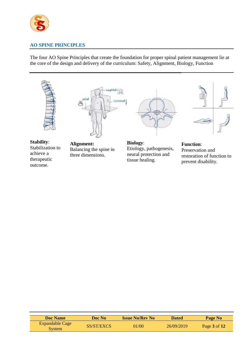

# **AO SPINE PRINCIPLES**

The four AO Spine Principles that create the foundation for proper spinal patient management lie at the core of the design and delivery of the curriculum: Safety, Alignment, Biology, Function





**Stability**: Stabilization to achieve a therapeutic outcome.

**Alignment:** Balancing the spine in three dimensions.



**Biology**: Etiology, pathogenesis, neural protection and tissue healing.



**Function**: Preservation and restoration of function to prevent disability.

| <b>Doc</b> Name                         | Doc No     | <b>Issue No/Rev No</b> | <b>Dated</b> | Page No          |
|-----------------------------------------|------------|------------------------|--------------|------------------|
| <b>Expandable Cage</b><br><b>System</b> | SS/ST/EXCS | 01/00                  | 26/09/2019   | Page $3$ of $12$ |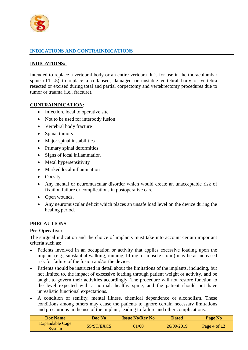

# **INDICATIONS AND CONTRAINDICATIONS**

# **INDICATIONS:**

Intended to replace a vertebral body or an entire vertebra. It is for use in the thoracolumbar spine (T1-L5) to replace a collapsed, damaged or unstable vertebral body or vertebra resected or excised during total and partial corpectomy and vertebrectomy procedures due to tumor or trauma (i.e., fracture).

## **CONTRAINDICATION:**

- Infection, local to operative site
- Not to be used for interbody fusion
- Vertebral body fracture
- Spinal tumors
- Major spinal instabilities
- Primary spinal deformities
- Signs of local inflammation
- Metal hypersensitivity
- Marked local inflammation
- Obesity
- Any mental or neuromuscular disorder which would create an unacceptable risk of fixation failure or complications in postoperative care.
- Open wounds.
- Any neuromuscular deficit which places an unsafe load level on the device during the healing period.

#### **PRECAUTIONS**

#### **Pre-Operative:**

The surgical indication and the choice of implants must take into account certain important criteria such as:

- Patients involved in an occupation or activity that applies excessive loading upon the implant (e.g., substantial walking, running, lifting, or muscle strain) may be at increased risk for failure of the fusion and/or the device.
- Patients should be instructed in detail about the limitations of the implants, including, but not limited to, the impact of excessive loading through patient weight or activity, and be taught to govern their activities accordingly. The procedure will not restore function to the level expected with a normal, healthy spine, and the patient should not have unrealistic functional expectations.
- A condition of senility, mental illness, chemical dependence or alcoholism. These conditions among others may cause the patients to ignore certain necessary limitations and precautions in the use of the implant, leading to failure and other complications.

| <b>Doc</b> Name                   | Doc No     | <b>Issue No/Rev No</b> | <b>Dated</b> | Page No        |
|-----------------------------------|------------|------------------------|--------------|----------------|
| <b>Expandable Cage</b><br>System/ | SS/ST/EXCS | 01/00                  | 26/09/2019   | Page 4 of $12$ |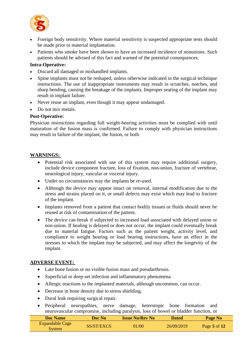

- Foreign body sensitivity. Where material sensitivity is suspected appropriate tests should be made prior to material implantation.
- Patients who smoke have been shown to have an increased incidence of nonunions. Such patients should be advised of this fact and warned of the potential consequences.

## **Intra-Operative:**

- Discard all damaged or mishandled implants.
- Spine implants must not be reshaped, unless otherwise indicated in the surgical technique instructions. The use of inappropriate instruments may result in scratches, notches, and sharp bending, causing the breakage of the implants. Improper seating of the implant may result in implant failure.
- Never reuse an implant, even though it may appear undamaged.
- Do not mix metals.

#### **Post-Operative:**

Physician instructions regarding full weight-bearing activities must be complied with until maturation of the fusion mass is confirmed. Failure to comply with physician instructions may result in failure of the implant, the fusion, or both.

#### **WARNINGS:**

- Potential risk associated with use of this system may require additional surgery, include device component fracture, loss of fixation, non-union, fracture of vertebrae, neurological injury, vascular or visceral injury.
- Under no circumstances may the implants be re-used.
- Although the device may appear intact on removal, internal modification due to the stress and strains placed on it, or small defects may exist which may lead to fracture of the implant.
- Implants removed from a patient that contact bodily tissues or fluids should never be reused at risk of contamination of the patient.
- The device can break if subjected to increased load associated with delayed union or non-union. If healing is delayed or does not occur, the implant could eventually break due to material fatigue. Factors such as the patient weight, activity level, and compliance to weight bearing or load bearing instructions, have an effect in the stresses to which the implant may be subjected, and may affect the longevity of the implant.

#### **ADVERSE EVENT:**

- Late bone fusion or no visible fusion mass and pseudarthrosis.
- Superficial or deep-set infection and inflammatory phenomena.
- Allergic reactions to the implanted materials, although uncommon, can occur.
- Decrease in bone density due to stress shielding.
- Dural leak requiring surgical repair.
- Peripheral neuropathies, nerve damage, heterotopic bone formation and neurovascular compromise, including paralysis, loss of bowel or bladder function, or

| Doc Name                         | Doc No     | <b>Issue No/Rev No</b> | <b>Dated</b> | Page No          |
|----------------------------------|------------|------------------------|--------------|------------------|
| <b>Expandable Cage</b><br>Svstem | SS/ST/EXCS | 01/00                  | 26/09/2019   | Page $5$ of $12$ |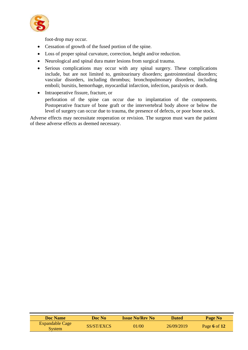

foot-drop may occur.

- Cessation of growth of the fused portion of the spine.
- Loss of proper spinal curvature, correction, height and/or reduction.
- Neurological and spinal dura mater lesions from surgical trauma.
- Serious complications may occur with any spinal surgery. These complications include, but are not limited to, genitourinary disorders; gastrointestinal disorders; vascular disorders, including thrombus; bronchopulmonary disorders, including emboli; bursitis, hemorrhage, myocardial infarction, infection, paralysis or death.
- Intraoperative fissure, fracture, or
	- perforation of the spine can occur due to implantation of the components. Postoperative fracture of bone graft or the intervertebral body above or below the level of surgery can occur due to trauma, the presence of defects, or poor bone stock.

Adverse effects may necessitate reoperation or revision. The surgeon must warn the patient of these adverse effects as deemed necessary.

| <b>Doc Name</b>                         | Doc No-    | <b>Issue No/Rev No</b> | <b>Dated</b> | Page No      |
|-----------------------------------------|------------|------------------------|--------------|--------------|
| <b>Expandable Cage</b><br><b>System</b> | SS/ST/EXCS | 01/00                  | 26/09/2019   | Page 6 of 12 |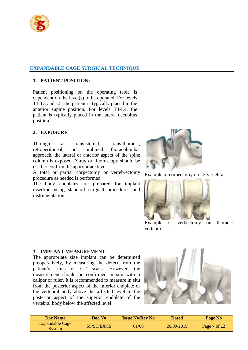

# **EXPANDABLE CAGE SURGICAL TECHNIQUE**

## **1. PATIENT POSITION:**

Patient positioning on the operating table is dependent on the level(s) to be operated. For levels T1-T3 and L5, the patient is typically placed in the anterior supine position. For levels T4-L4, the patient is typically placed in the lateral decubitus position

# **2. EXPOSURE**

Through a trans-sternal, trans-thoracic, retroperitoneal, or combined thoracolumbar approach, the lateral or anterior aspect of the spine column is exposed. X-ray or fluoroscopy should be used to confirm the appropriate level.

A total or partial corpectomy or vertebrectomy procedure as needed is performed.

The bony endplates are prepared for implant insertion using standard surgical procedures and instrumentation.



Example of corpectomy on L5 vertebra



Example of verbectomy on thoracic vertebra

#### **3. IMPLANT MEASUREMENT**

The appropriate size implant can be determined preoperatively, by measuring the defect from the patient's films or CT scans. However, the measurement should be confirmed in situ with a caliper or ruler. It is recommended to measure in situ from the posterior aspect of the inferior endplate of the vertebral body above the affected level to the posterior aspect of the superior endplate of the vertebral body below the affected level



| <b>Doc Name</b>                         | Doc No     | <b>Issue No/Rev No</b> | <b>Dated</b> | Page No                 |
|-----------------------------------------|------------|------------------------|--------------|-------------------------|
| <b>Expandable Cage</b><br><b>System</b> | SS/ST/EXCS | 01/00                  | 26/09/2019   | Page $7 \text{ of } 12$ |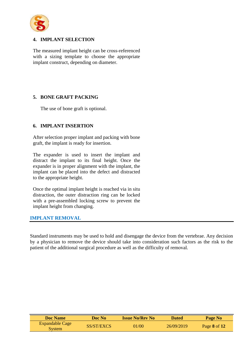

## **4. IMPLANT SELECTION**

The measured implant height can be cross-referenced with a sizing template to choose the appropriate implant construct, depending on diameter.

# **5. BONE GRAFT PACKING**

The use of bone graft is optional.

# **6. IMPLANT INSERTION**

After selection proper implant and packing with bone graft, the implant is ready for insertion.

The expander is used to insert the implant and distract the implant to its final height. Once the expander is in proper alignment with the implant, the implant can be placed into the defect and distracted to the appropriate height.

Once the optimal implant height is reached via in situ distraction, the outer distraction ring can be locked with a pre-assembled locking screw to prevent the implant height from changing.

## **IMPLANT REMOVAL**

Standard instruments may be used to hold and disengage the device from the vertebrae. Any decision by a physician to remove the device should take into consideration such factors as the risk to the patient of the additional surgical procedure as well as the difficulty of removal.

| Doc Name                         | Doc No-    | <b>Issue No/Rev No</b> | <b>Dated</b> | Page No      |
|----------------------------------|------------|------------------------|--------------|--------------|
| Expandable Cage<br><b>System</b> | SS/ST/EXCS | 01/00                  | 26/09/2019   | Page 8 of 12 |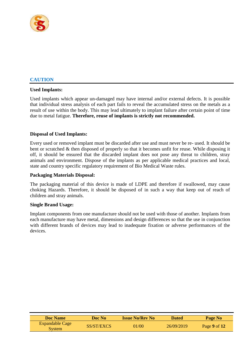

# **CAUTION**

#### **Used Implants:**

Used implants which appear un-damaged may have internal and/or external defects. It is possible that individual stress analysis of each part fails to reveal the accumulated stress on the metals as a result of use within the body. This may lead ultimately to implant failure after certain point of time due to metal fatigue. **Therefore, reuse of implants is strictly not recommended.**

#### **Disposal of Used Implants:**

Every used or removed implant must be discarded after use and must never be re- used. It should be bent or scratched & then disposed of properly so that it becomes unfit for reuse. While disposing it off, it should be ensured that the discarded implant does not pose any threat to children, stray animals and environment. Dispose of the implants as per applicable medical practices and local, state and country specific regulatory requirement of Bio Medical Waste rules.

#### **Packaging Materials Disposal:**

The packaging material of this device is made of LDPE and therefore if swallowed, may cause choking Hazards. Therefore, it should be disposed of in such a way that keep out of reach of children and stray animals.

#### **Single Brand Usage:**

Implant components from one manufacture should not be used with those of another. Implants from each manufacture may have metal, dimensions and design differences so that the use in conjunction with different brands of devices may lead to inadequate fixation or adverse performances of the devices.

| <b>Doc Name</b>                  | Doc No     | <b>Issue No/Rev No</b> | <b>Dated</b> | Page No      |
|----------------------------------|------------|------------------------|--------------|--------------|
| Expandable Cage<br><b>System</b> | SS/ST/EXCS | 01/00                  | 26/09/2019   | Page 9 of 12 |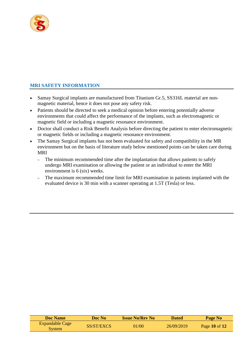

# **MRI SAFETY INFORMATION**

- Samay Surgical implants are manufactured from Titanium Gr.5, SS316L material are nonmagnetic material, hence it does not pose any safety risk.
- Patients should be directed to seek a medical opinion before entering potentially adverse environments that could affect the performance of the implants, such as electromagnetic or magnetic field or including a magnetic resonance environment.
- Doctor shall conduct a Risk Benefit Analysis before directing the patient to enter electromagnetic or magnetic fields or including a magnetic resonance environment.
- The Samay Surgical implants has not been evaluated for safety and compatibility in the MR environment but on the basis of literature study below mentioned points can be taken care during MRI
	- The minimum recommended time after the implantation that allows patients to safely undergo MRI examination or allowing the patient or an individual to enter the MRI environment is 6 (six) weeks.
	- The maximum recommended time limit for MRI examination in patients implanted with the evaluated device is 30 min with a scanner operating at 1.5T (Tesla) or less.

| <b>Doc Name</b>                  | Doc No-    | <b>Issue No/Rev No</b> | <b>Dated</b> | Page No           |  |
|----------------------------------|------------|------------------------|--------------|-------------------|--|
| Expandable Cage<br><b>System</b> | SS/ST/EXCS | 01/00                  | 26/09/2019   | Page $10$ of $12$ |  |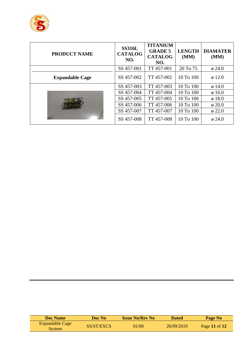

| <b>PRODUCT NAME</b>    | <b>SS316L</b><br><b>CATALOG</b><br>NO. | <b>TITANIUM</b><br><b>GRADE 5</b><br><b>CATALOG</b><br>NO. | <b>LENGTH</b><br>(MM) | <b>DIAMATER</b><br>(MM) |
|------------------------|----------------------------------------|------------------------------------------------------------|-----------------------|-------------------------|
|                        | SS 457-001                             | TT 457-001                                                 | 20 To 75              | $\varnothing$ 24.0      |
| <b>Expandable Cage</b> | SS 457-002                             | TT 457-002                                                 | 10 To 100             | $\varnothing$ 12.0      |
|                        | SS 457-003                             | TT 457-003                                                 | 10 To 100             | $\varnothing$ 14.0      |
|                        | SS 457-004                             | TT 457-004                                                 | 10 To 100             | $\varnothing$ 16.0      |
|                        | SS 457-005                             | TT 457-005                                                 | 10 To 100             | $\varnothing$ 18.0      |
|                        | SS 457-006                             | TT 457-006                                                 | 10 To 100             | $\varphi$ 20.0          |
|                        | SS 457-007                             | TT 457-007                                                 | 10 To 100             | $\varphi$ 22.0          |
|                        | SS 457-008                             | TT 457-008                                                 | 10 To 100             | $\phi$ 24.0             |

| Doc Name                         | Doc No-    | <b>Issue No/Rev No</b> | <b>Dated</b> | Page No       |
|----------------------------------|------------|------------------------|--------------|---------------|
| Expandable Cage<br><b>System</b> | SS/ST/EXCS | 01/00                  | 26/09/2019   | Page 11 of 12 |